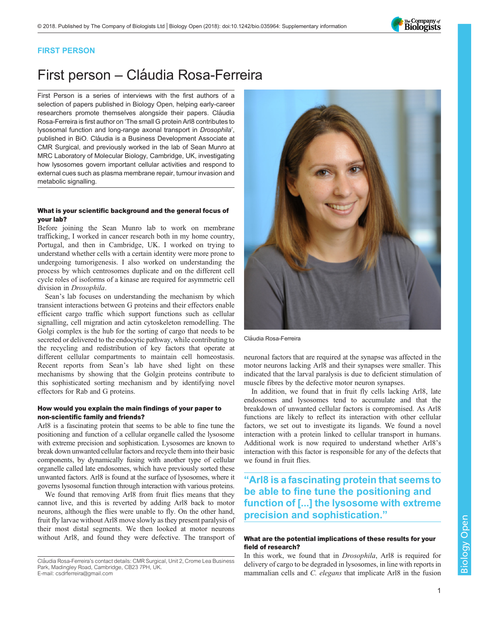

# FIRST PERSON

# First person - Cláudia Rosa-Ferreira

First Person is a series of interviews with the first authors of a selection of papers published in Biology Open, helping early-career researchers promote themselves alongside their papers. Cláudia Rosa-Ferreira is first author on '[The small G protein Arl8 contributes to](#page-1-0) [lysosomal function and long-range axonal transport in](#page-1-0) Drosophila', published in BiO. Cláudia is a Business Development Associate at CMR Surgical, and previously worked in the lab of Sean Munro at MRC Laboratory of Molecular Biology, Cambridge, UK, investigating how lysosomes govern important cellular activities and respond to external cues such as plasma membrane repair, tumour invasion and metabolic signalling.

## What is your scientific background and the general focus of your lab?

Before joining the Sean Munro lab to work on membrane trafficking, I worked in cancer research both in my home country, Portugal, and then in Cambridge, UK. I worked on trying to understand whether cells with a certain identity were more prone to undergoing tumorigenesis. I also worked on understanding the process by which centrosomes duplicate and on the different cell cycle roles of isoforms of a kinase are required for asymmetric cell division in *Drosophila*.

Sean's lab focuses on understanding the mechanism by which transient interactions between G proteins and their effectors enable efficient cargo traffic which support functions such as cellular signalling, cell migration and actin cytoskeleton remodelling. The Golgi complex is the hub for the sorting of cargo that needs to be secreted or delivered to the endocytic pathway, while contributing to the recycling and redistribution of key factors that operate at different cellular compartments to maintain cell homeostasis. Recent reports from Sean's lab have shed light on these mechanisms by showing that the Golgin proteins contribute to this sophisticated sorting mechanism and by identifying novel effectors for Rab and G proteins.

## How would you explain the main findings of your paper to non-scientific family and friends?

Arl8 is a fascinating protein that seems to be able to fine tune the positioning and function of a cellular organelle called the lysosome with extreme precision and sophistication. Lysosomes are known to break down unwanted cellular factors and recycle them into their basic components, by dynamically fusing with another type of cellular organelle called late endosomes, which have previously sorted these unwanted factors. Arl8 is found at the surface of lysosomes, where it governs lysosomal function through interaction with various proteins.

We found that removing Arl8 from fruit flies means that they cannot live, and this is reverted by adding Arl8 back to motor neurons, although the flies were unable to fly. On the other hand, fruit fly larvae without Arl8 move slowly as they present paralysis of their most distal segments. We then looked at motor neurons without Arl8, and found they were defective. The transport of

Cláudia Rosa-Ferreira's contact details: CMR Surgical, Unit 2, Crome Lea Business Park, Madingley Road, Cambridge, CB23 7PH, UK. E-mail: [csdrferreira@gmail.com](mailto:csdrferreira@gmail.com)



Cláudia Rosa-Ferreira

neuronal factors that are required at the synapse was affected in the motor neurons lacking Arl8 and their synapses were smaller. This indicated that the larval paralysis is due to deficient stimulation of muscle fibres by the defective motor neuron synapses.

In addition, we found that in fruit fly cells lacking Arl8, late endosomes and lysosomes tend to accumulate and that the breakdown of unwanted cellular factors is compromised. As Arl8 functions are likely to reflect its interaction with other cellular factors, we set out to investigate its ligands. We found a novel interaction with a protein linked to cellular transport in humans. Additional work is now required to understand whether Arl8's interaction with this factor is responsible for any of the defects that we found in fruit flies.

# "Arl8 is a fascinating protein that seems to be able to fine tune the positioning and function of [...] the lysosome with extreme precision and sophistication."

# What are the potential implications of these results for your field of research?

In this work, we found that in Drosophila, Arl8 is required for delivery of cargo to be degraded in lysosomes, in line with reports in mammalian cells and *C. elegans* that implicate Arl8 in the fusion